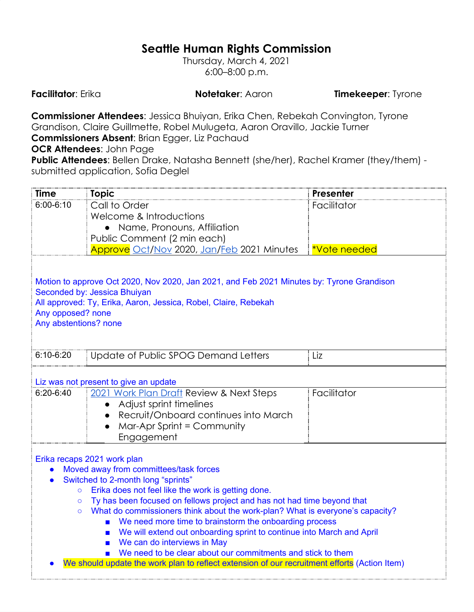## **Seattle Human Rights Commission**

Thursday, March 4, 2021 6:00–8:00 p.m.

**Facilitator**: Erika **Notetaker**: Aaron **Timekeeper**: Tyrone

**Commissioner Attendees**: Jessica Bhuiyan, Erika Chen, Rebekah Convington, Tyrone Grandison, Claire Guillmette, Robel Mulugeta, Aaron Oravillo, Jackie Turner **Commissioners Absent**: Brian Egger, Liz Pachaud

**OCR Attendees**: John Page

**Public Attendees**: Bellen Drake, Natasha Bennett (she/her), Rachel Kramer (they/them) submitted application, Sofia Deglel

| <b>Time</b>                                                                                                                                                                                                                                                                                                                                                                                                                                                                                                                                                                                                                                                                                                                                      | <b>Topic</b>                                                                                                                                                                                                  | Presenter           |  |  |
|--------------------------------------------------------------------------------------------------------------------------------------------------------------------------------------------------------------------------------------------------------------------------------------------------------------------------------------------------------------------------------------------------------------------------------------------------------------------------------------------------------------------------------------------------------------------------------------------------------------------------------------------------------------------------------------------------------------------------------------------------|---------------------------------------------------------------------------------------------------------------------------------------------------------------------------------------------------------------|---------------------|--|--|
| $6:00 - 6:10$                                                                                                                                                                                                                                                                                                                                                                                                                                                                                                                                                                                                                                                                                                                                    | Call to Order                                                                                                                                                                                                 | Facilitator         |  |  |
|                                                                                                                                                                                                                                                                                                                                                                                                                                                                                                                                                                                                                                                                                                                                                  | Welcome & Introductions                                                                                                                                                                                       |                     |  |  |
|                                                                                                                                                                                                                                                                                                                                                                                                                                                                                                                                                                                                                                                                                                                                                  | • Name, Pronouns, Affiliation                                                                                                                                                                                 |                     |  |  |
|                                                                                                                                                                                                                                                                                                                                                                                                                                                                                                                                                                                                                                                                                                                                                  | Public Comment (2 min each)                                                                                                                                                                                   |                     |  |  |
|                                                                                                                                                                                                                                                                                                                                                                                                                                                                                                                                                                                                                                                                                                                                                  | <u>Approve Oct/Nov</u> 2020, <u>Jan/Feb</u> 2021 Minutes                                                                                                                                                      | <b>*Vote needed</b> |  |  |
| Motion to approve Oct 2020, Nov 2020, Jan 2021, and Feb 2021 Minutes by: Tyrone Grandison<br>Seconded by: Jessica Bhuiyan<br>All approved: Ty, Erika, Aaron, Jessica, Robel, Claire, Rebekah<br>Any opposed? none<br>Any abstentions? none                                                                                                                                                                                                                                                                                                                                                                                                                                                                                                       |                                                                                                                                                                                                               |                     |  |  |
| $6:10-6:20$                                                                                                                                                                                                                                                                                                                                                                                                                                                                                                                                                                                                                                                                                                                                      | Update of Public SPOG Demand Letters                                                                                                                                                                          | Liz                 |  |  |
| $6:20 - 6:40$                                                                                                                                                                                                                                                                                                                                                                                                                                                                                                                                                                                                                                                                                                                                    | Liz was not present to give an update<br>2021 Work Plan Draft Review & Next Steps<br>Adjust sprint timelines<br>Recruit/Onboard continues into March<br>$\bullet$<br>Mar-Apr Sprint = Community<br>Engagement | Facilitator         |  |  |
| Erika recaps 2021 work plan<br>Moved away from committees/task forces<br>Switched to 2-month long "sprints"<br>$\bullet$<br>Erika does not feel like the work is getting done.<br>$\circ$<br>Ty has been focused on fellows project and has not had time beyond that<br>$\circ$<br>What do commissioners think about the work-plan? What is everyone's capacity?<br>$\circ$<br>We need more time to brainstorm the onboarding process<br>We will extend out onboarding sprint to continue into March and April<br>$\blacksquare$<br>We can do interviews in May<br>$\blacksquare$<br>We need to be clear about our commitments and stick to them<br>We should update the work plan to reflect extension of our recruitment efforts (Action Item) |                                                                                                                                                                                                               |                     |  |  |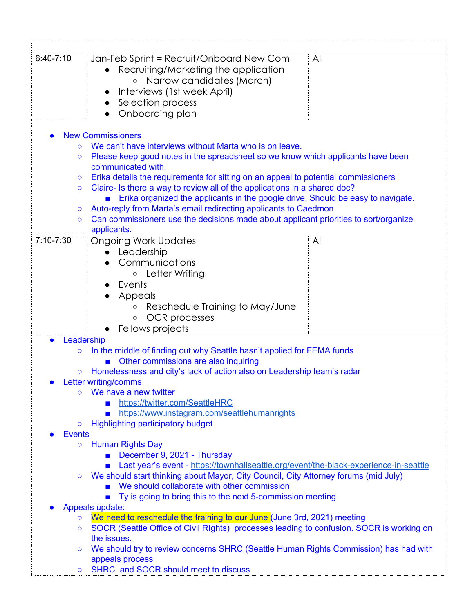| $6:40-7:10$              | Jan-Feb Sprint = Recruit/Onboard New Com<br>All                                          |  |  |  |
|--------------------------|------------------------------------------------------------------------------------------|--|--|--|
|                          | Recruiting/Marketing the application                                                     |  |  |  |
|                          | o Narrow candidates (March)                                                              |  |  |  |
|                          | Interviews (1st week April)                                                              |  |  |  |
|                          | Selection process                                                                        |  |  |  |
|                          | Onboarding plan                                                                          |  |  |  |
|                          |                                                                                          |  |  |  |
| <b>New Commissioners</b> |                                                                                          |  |  |  |
| $\circ$                  | We can't have interviews without Marta who is on leave.                                  |  |  |  |
| $\circ$                  | Please keep good notes in the spreadsheet so we know which applicants have been          |  |  |  |
|                          | communicated with.                                                                       |  |  |  |
| $\circ$                  | Erika details the requirements for sitting on an appeal to potential commissioners       |  |  |  |
| $\circ$                  | Claire- Is there a way to review all of the applications in a shared doc?                |  |  |  |
|                          | Erika organized the applicants in the google drive. Should be easy to navigate.          |  |  |  |
| $\circ$                  | Auto-reply from Marta's email redirecting applicants to Caedmon                          |  |  |  |
| $\circ$                  | Can commissioners use the decisions made about applicant priorities to sort/organize     |  |  |  |
|                          | applicants.                                                                              |  |  |  |
| 7:10-7:30                | All<br>Ongoing Work Updates                                                              |  |  |  |
|                          | Leadership                                                                               |  |  |  |
|                          | Communications                                                                           |  |  |  |
|                          | ○ Letter Writing                                                                         |  |  |  |
|                          | Events                                                                                   |  |  |  |
|                          | Appeals                                                                                  |  |  |  |
|                          | Reschedule Training to May/June                                                          |  |  |  |
|                          | OCR processes<br>$\circ$                                                                 |  |  |  |
|                          | Fellows projects                                                                         |  |  |  |
| Leadership               |                                                                                          |  |  |  |
| $\circ$                  | In the middle of finding out why Seattle hasn't applied for FEMA funds                   |  |  |  |
|                          | Other commissions are also inquiring                                                     |  |  |  |
| $\circ$                  | Homelessness and city's lack of action also on Leadership team's radar                   |  |  |  |
|                          | Letter writing/comms                                                                     |  |  |  |
|                          | We have a new twitter<br>https://twitter.com/SeattleHRC                                  |  |  |  |
|                          | https://www.instagram.com/seattlehumanrights                                             |  |  |  |
| $\circ$                  | <b>Highlighting participatory budget</b>                                                 |  |  |  |
| <b>Events</b>            |                                                                                          |  |  |  |
| $\circ$                  | <b>Human Rights Day</b>                                                                  |  |  |  |
|                          | December 9, 2021 - Thursday                                                              |  |  |  |
|                          | Last year's event - https://townhallseattle.org/event/the-black-experience-in-seattle    |  |  |  |
| $\circ$                  | We should start thinking about Mayor, City Council, City Attorney forums (mid July)      |  |  |  |
|                          | We should collaborate with other commission                                              |  |  |  |
|                          | Ty is going to bring this to the next 5-commission meeting                               |  |  |  |
| Appeals update:          |                                                                                          |  |  |  |
| $\circ$                  | We need to reschedule the training to our June (June 3rd, 2021) meeting                  |  |  |  |
| $\circ$                  | SOCR (Seattle Office of Civil RIghts) processes leading to confusion. SOCR is working on |  |  |  |
|                          | the issues.                                                                              |  |  |  |
| $\circ$                  | We should try to review concerns SHRC (Seattle Human Rights Commission) has had with     |  |  |  |
|                          | appeals process                                                                          |  |  |  |
|                          | SHRC and SOCR should meet to discuss                                                     |  |  |  |